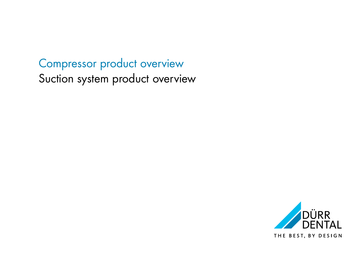## Compressor product overview Suction system product overview

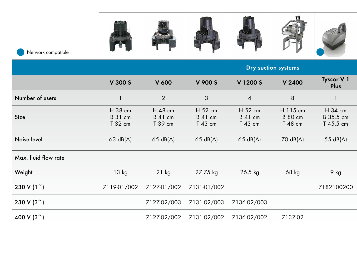| Network compatible   | $\mathbf{r}$                  |                               |                                     |                                      | 4                                     |                                   |
|----------------------|-------------------------------|-------------------------------|-------------------------------------|--------------------------------------|---------------------------------------|-----------------------------------|
|                      |                               |                               |                                     |                                      | Dry suction systems                   |                                   |
|                      | V 300 S                       | V 600                         | V 900 S                             | V 1200 S                             | V 2400                                | Tyscor V 1<br>Plus                |
| Number of users      |                               | $\overline{2}$                |                                     |                                      | 8                                     |                                   |
| Size                 | H 38 cm<br>B 31 cm<br>T 32 cm | H 48 cm<br>B 41 cm<br>T 39 cm | H 52 cm<br>B 41 cm<br>T 43 cm       | H 52 cm<br><b>B</b> 41 cm<br>T 43 cm | H 115 cm<br><b>B</b> 80 cm<br>T 48 cm | H 34 cm<br>B 35.5 cm<br>T 45.5 cm |
| Noise level          | 63 dB(A)                      | 65 dB(A)                      | 65 dB(A)                            | 65 dB(A)                             | 70 dB(A)                              | 55 dB(A)                          |
| Max. fluid flow rate |                               |                               |                                     |                                      |                                       |                                   |
| Weight               | 13 kg                         | $21$ kg                       | 27.75 kg                            | 26.5 kg                              | 68 kg                                 | 9 kg                              |
| 230 V (1~)           |                               |                               | 7119-01/002 7127-01/002 7131-01/002 |                                      |                                       | 7182100200                        |
| 230 V (3~)           |                               |                               |                                     | 7127-02/003 7131-02/003 7136-02/003  |                                       |                                   |
| 400 V (3~)           |                               |                               |                                     | 7127-02/002 7131-02/002 7136-02/002  | 7137-02                               |                                   |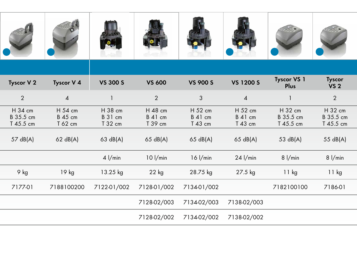| Tyscor V 2                        | Tyscor V 4                           | VS 300 S                      | <b>VS 600</b>                                  | VS 900 S                            | VS 1200 S                     | Tyscor VS 1<br>Plus               | Tyscor<br>VS 2                    |
|-----------------------------------|--------------------------------------|-------------------------------|------------------------------------------------|-------------------------------------|-------------------------------|-----------------------------------|-----------------------------------|
| 2                                 | $\overline{4}$                       |                               | 2                                              |                                     |                               |                                   | $\overline{2}$                    |
| H 34 cm<br>B 35.5 cm<br>T 45.5 cm | H 54 cm<br><b>B</b> 45 cm<br>T 62 cm | H 38 cm<br>B 31 cm<br>T 32 cm | H 48 cm<br>B 41 cm<br>T 39 cm                  | H 52 cm<br>B 41 cm<br>T 43 cm       | H 52 cm<br>B 41 cm<br>T 43 cm | H 32 cm<br>B 35.5 cm<br>T 45.5 cm | H 32 cm<br>B 35.5 cm<br>T 45.5 cm |
| 57 dB(A)                          | 62 dB(A)                             | 63 dB(A)                      | 65 dB(A)                                       | 65 dB(A)                            | 65 dB(A)                      | 53 dB(A)                          | 55 dB(A)                          |
|                                   |                                      | $4$ $1/min$                   | $10$ $1/m$ in                                  | 16 l/min                            | $24$ $1/min$                  | 8 l/min                           | 8 l/min                           |
| 9 kg                              | 19 kg                                | 13.25 kg                      | 22 kg                                          | 28.75 kg                            | 27.5 kg                       | 11 kg                             | 11 kg                             |
| 7177-01                           |                                      |                               | 7188100200 7122-01/002 7128-01/002 7134-01/002 |                                     |                               | 7182100100                        | 7186-01                           |
|                                   |                                      |                               |                                                | 7128-02/003 7134-02/003 7138-02/003 |                               |                                   |                                   |
|                                   |                                      |                               |                                                | 7128-02/002 7134-02/002 7138-02/002 |                               |                                   |                                   |